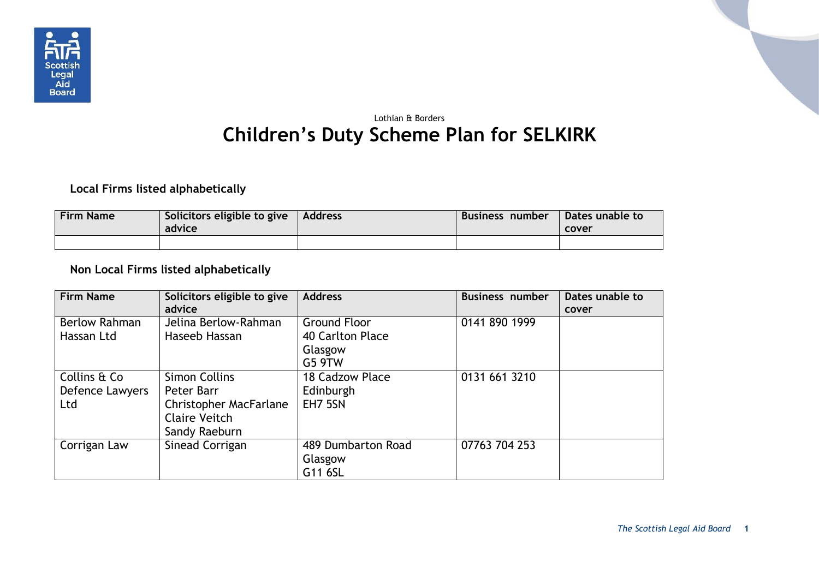

## Lothian & Borders **Children's Duty Scheme Plan for SELKIRK**

## **Local Firms listed alphabetically**

| <b>Firm Name</b> | Solicitors eligible to give<br>advice | Address | Business number | Dates unable to<br>cover |
|------------------|---------------------------------------|---------|-----------------|--------------------------|
|                  |                                       |         |                 |                          |

## **Non Local Firms listed alphabetically**

| <b>Firm Name</b>                       | Solicitors eligible to give<br>advice                                                                 | <b>Address</b>                                               | <b>Business number</b> | Dates unable to<br>cover |
|----------------------------------------|-------------------------------------------------------------------------------------------------------|--------------------------------------------------------------|------------------------|--------------------------|
| <b>Berlow Rahman</b><br>Hassan Ltd     | Jelina Berlow-Rahman<br>Haseeb Hassan                                                                 | <b>Ground Floor</b><br>40 Carlton Place<br>Glasgow<br>G5 9TW | 0141 890 1999          |                          |
| Collins & Co<br>Defence Lawyers<br>Ltd | <b>Simon Collins</b><br>Peter Barr<br><b>Christopher MacFarlane</b><br>Claire Veitch<br>Sandy Raeburn | 18 Cadzow Place<br>Edinburgh<br>EH7 5SN                      | 0131 661 3210          |                          |
| Corrigan Law                           | Sinead Corrigan                                                                                       | 489 Dumbarton Road<br>Glasgow<br>G11 6SL                     | 07763 704 253          |                          |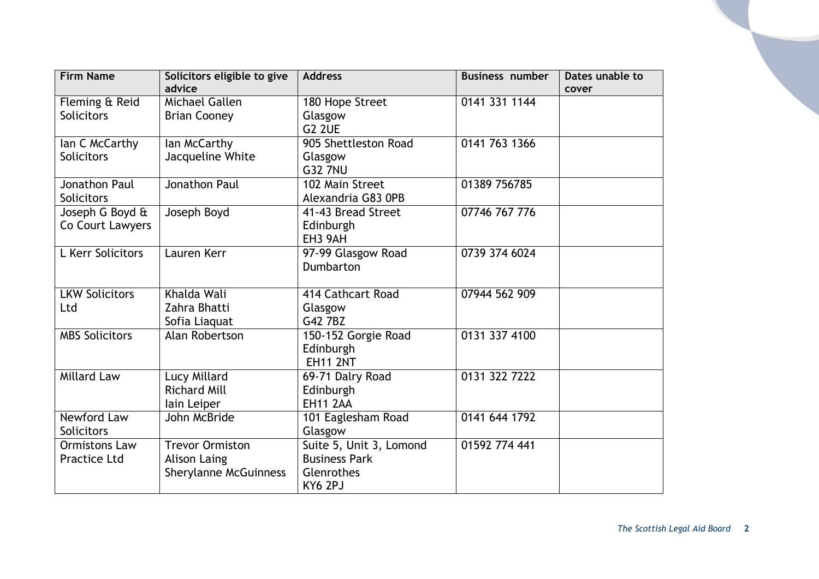| <b>Firm Name</b>      | Solicitors eligible to give<br>advice | <b>Address</b>          | <b>Business number</b> | Dates unable to |
|-----------------------|---------------------------------------|-------------------------|------------------------|-----------------|
|                       |                                       |                         |                        | cover           |
| Fleming & Reid        | Michael Gallen                        | 180 Hope Street         | 0141 331 1144          |                 |
| <b>Solicitors</b>     | <b>Brian Cooney</b>                   | Glasgow                 |                        |                 |
|                       |                                       | G <sub>2</sub> 2UE      |                        |                 |
| lan C McCarthy        | lan McCarthy                          | 905 Shettleston Road    | 0141 763 1366          |                 |
| <b>Solicitors</b>     | Jacqueline White                      | Glasgow                 |                        |                 |
|                       |                                       | <b>G32 7NU</b>          |                        |                 |
| Jonathon Paul         | Jonathon Paul                         | 102 Main Street         | 01389 756785           |                 |
| Solicitors            |                                       | Alexandria G83 0PB      |                        |                 |
| Joseph G Boyd &       | Joseph Boyd                           | 41-43 Bread Street      | 07746 767 776          |                 |
| Co Court Lawyers      |                                       | Edinburgh               |                        |                 |
|                       |                                       | EH3 9AH                 |                        |                 |
| L Kerr Solicitors     | Lauren Kerr                           | 97-99 Glasgow Road      | 0739 374 6024          |                 |
|                       |                                       | Dumbarton               |                        |                 |
|                       |                                       |                         |                        |                 |
| <b>LKW Solicitors</b> | Khalda Wali                           | 414 Cathcart Road       | 07944 562 909          |                 |
| Ltd                   | Zahra Bhatti                          | Glasgow                 |                        |                 |
|                       | Sofia Liaquat                         | G42 7BZ                 |                        |                 |
| <b>MBS Solicitors</b> | Alan Robertson                        | 150-152 Gorgie Road     | 0131 337 4100          |                 |
|                       |                                       | Edinburgh               |                        |                 |
|                       |                                       | <b>EH11 2NT</b>         |                        |                 |
| <b>Millard Law</b>    | Lucy Millard                          | 69-71 Dalry Road        | 0131 322 7222          |                 |
|                       | <b>Richard Mill</b>                   | Edinburgh               |                        |                 |
|                       | lain Leiper                           | <b>EH11 2AA</b>         |                        |                 |
| <b>Newford Law</b>    | John McBride                          | 101 Eaglesham Road      | 0141 644 1792          |                 |
| <b>Solicitors</b>     |                                       | Glasgow                 |                        |                 |
| Ormistons Law         | <b>Trevor Ormiston</b>                | Suite 5, Unit 3, Lomond | 01592 774 441          |                 |
| <b>Practice Ltd</b>   | <b>Alison Laing</b>                   | <b>Business Park</b>    |                        |                 |
|                       | <b>Sherylanne McGuinness</b>          | Glenrothes              |                        |                 |
|                       |                                       | KY6 2PJ                 |                        |                 |